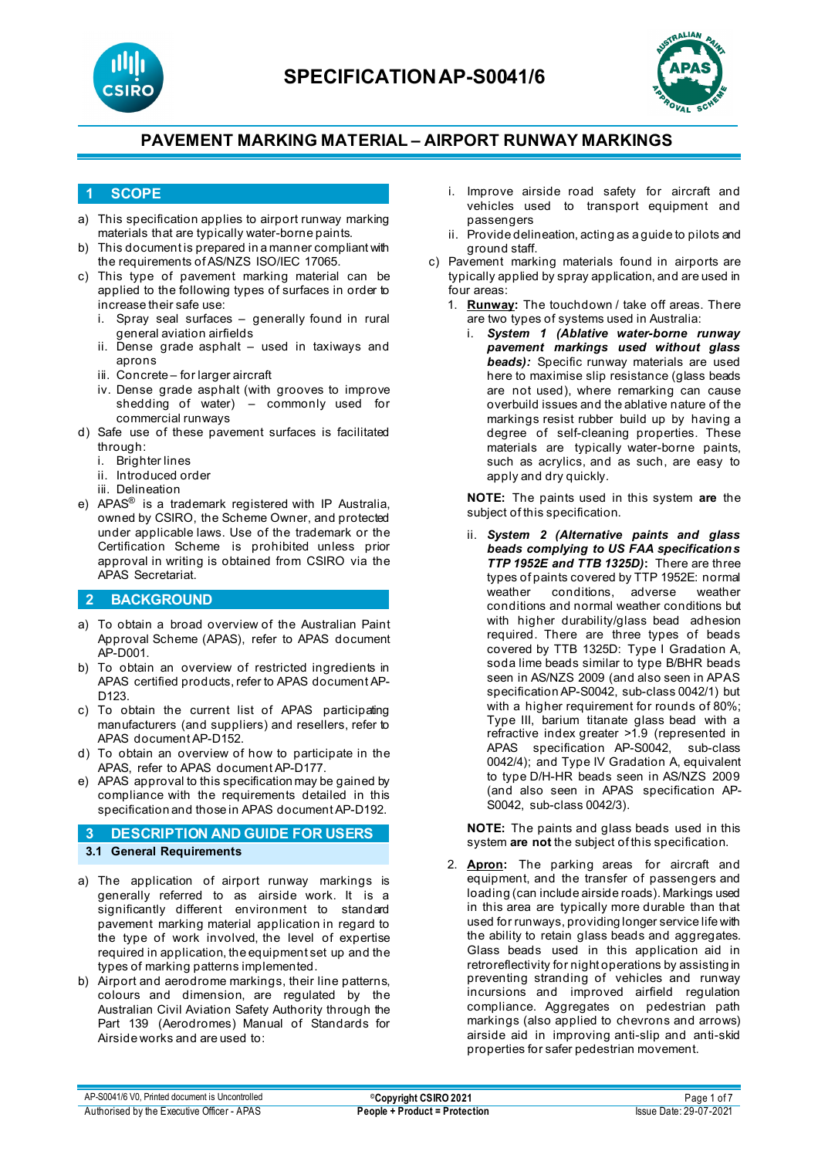



#### **1 SCOPE**

- a) This specification applies to airport runway marking materials that are typically water-borne paints.
- b) This document is prepared in a manner compliant with the requirements of AS/NZS ISO/IEC 17065.
- c) This type of pavement marking material can be applied to the following types of surfaces in order to increase their safe use:
	- i. Spray seal surfaces generally found in rural general aviation airfields
	- ii. Dense grade asphalt used in taxiways and aprons
	- iii. Concrete for larger aircraft
	- iv. Dense grade asphalt (with grooves to improve shedding of water) – commonly used for commercial runways
- d) Safe use of these pavement surfaces is facilitated through:
	- i. Brighter lines
	- ii. Introduced order
	- iii. Delineation
- e) APAS® is a trademark registered with IP Australia, owned by CSIRO, the Scheme Owner, and protected under applicable laws. Use of the trademark or the Certification Scheme is prohibited unless prior approval in writing is obtained from CSIRO via the APAS Secretariat.

### **2 BACKGROUND**

- a) To obtain a broad overview of the Australian Paint Approval Scheme (APAS), refer to APAS document AP-D001.
- b) To obtain an overview of restricted ingredients in APAS certified products, refer to APAS document AP-D<sub>123</sub>
- c) To obtain the current list of APAS participating manufacturers (and suppliers) and resellers, refer to APAS document AP-D152.
- d) To obtain an overview of how to participate in the APAS, refer to APAS document AP-D177.
- e) APAS approval to this specification may be gained by compliance with the requirements detailed in this specification and those in APAS document AP-D192.

### **3 DESCRIPTION AND GUIDE FOR USERS 3.1 General Requirements**

- a) The application of airport runway markings is generally referred to as airside work. It is a significantly different environment to standard pavement marking material application in regard to the type of work involved, the level of expertise required in application, the equipment set up and the types of marking patterns implemented.
- b) Airport and aerodrome markings, their line patterns, colours and dimension, are regulated by the Australian Civil Aviation Safety Authority through the Part 139 (Aerodromes) Manual of Standards for Airside works and are used to:
- i. Improve airside road safety for aircraft and vehicles used to transport equipment and passengers
- ii. Provide delineation, acting as a guide to pilots and ground staff.
- c) Pavement marking materials found in airports are typically applied by spray application, and are used in four areas:
	- 1. **Runway:** The touchdown / take off areas. There are two types of systems used in Australia:
		- i. *System 1 (Ablative water-borne runway pavement markings used without glass beads):* Specific runway materials are used here to maximise slip resistance (glass beads are not used), where remarking can cause overbuild issues and the ablative nature of the markings resist rubber build up by having a degree of self-cleaning properties. These materials are typically water-borne paints, such as acrylics, and as such, are easy to apply and dry quickly.

**NOTE:** The paints used in this system **are** the subject of this specification.

ii. *System 2 (Alternative paints and glass beads complying to US FAA specifications TTP 1952E and TTB 1325D)***:** There are three types of paints covered by TTP 1952E: normal weather conditions, adverse weather conditions and normal weather conditions but with higher durability/glass bead adhesion required. There are three types of beads covered by TTB 1325D: Type I Gradation A, soda lime beads similar to type B/BHR beads seen in AS/NZS 2009 (and also seen in APAS specification AP-S0042, sub-class 0042/1) but with a higher requirement for rounds of 80%; Type III, barium titanate glass bead with a refractive index greater >1.9 (represented in APAS specification AP-S0042, sub-class 0042/4); and Type IV Gradation A, equivalent to type D/H-HR beads seen in AS/NZS 2009 (and also seen in APAS specification AP-S0042, sub-class 0042/3).

**NOTE:** The paints and glass beads used in this system **are not** the subject of this specification.

2. **Apron:** The parking areas for aircraft and equipment, and the transfer of passengers and loading (can include airside roads). Markings used in this area are typically more durable than that used for runways, providing longer service life with the ability to retain glass beads and aggregates. Glass beads used in this application aid in retroreflectivity for night operations by assisting in preventing stranding of vehicles and runway incursions and improved airfield regulation compliance. Aggregates on pedestrian path markings (also applied to chevrons and arrows) airside aid in improving anti-slip and anti-skid properties for safer pedestrian movement.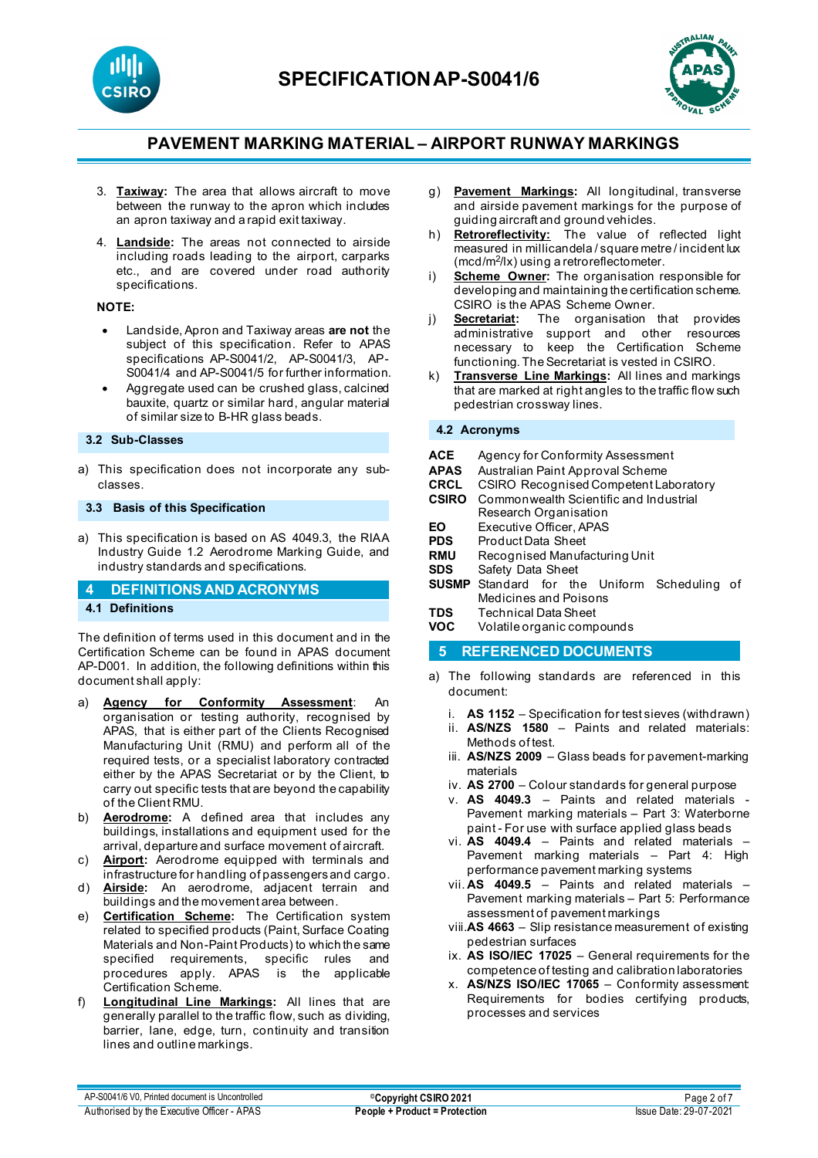



- 3. **Taxiway:** The area that allows aircraft to move between the runway to the apron which includes an apron taxiway and a rapid exit taxiway.
- 4. **Landside:** The areas not connected to airside including roads leading to the airport, carparks etc., and are covered under road authority specifications.

#### **NOTE:**

- Landside, Apron and Taxiway areas **are not** the subject of this specification. Refer to APAS specifications AP-S0041/2, AP-S0041/3, AP-S0041/4 and AP-S0041/5 for further information.
- Aggregate used can be crushed glass, calcined bauxite, quartz or similar hard, angular material of similar size to B-HR glass beads.

#### **3.2 Sub-Classes**

a) This specification does not incorporate any subclasses.

#### **3.3 Basis of this Specification**

a) This specification is based on AS 4049.3, the RIAA Industry Guide 1.2 Aerodrome Marking Guide, and industry standards and specifications.

#### **4 DEFINITIONS AND ACRONYMS**

#### **4.1 Definitions**

The definition of terms used in this document and in the Certification Scheme can be found in APAS document AP-D001. In addition, the following definitions within this document shall apply:

- a) **Agency for Conformity Assessment**: An organisation or testing authority, recognised by APAS, that is either part of the Clients Recognised Manufacturing Unit (RMU) and perform all of the required tests, or a specialist laboratory contracted either by the APAS Secretariat or by the Client, to carry out specific tests that are beyond the capability of the Client RMU.
- b) **Aerodrome:** A defined area that includes any buildings, installations and equipment used for the arrival, departure and surface movement of aircraft.
- c) **Airport:** Aerodrome equipped with terminals and infrastructure for handling of passengers and cargo.
- d) **Airside:** An aerodrome, adjacent terrain and buildings and the movement area between.
- e) **Certification Scheme:** The Certification system related to specified products (Paint, Surface Coating Materials and Non-Paint Products) to which the same specified requirements, specific rules and procedures apply. APAS is the applicable Certification Scheme.
- f) **Longitudinal Line Markings:** All lines that are generally parallel to the traffic flow, such as dividing, barrier, lane, edge, turn, continuity and transition lines and outline markings.
- g) **Pavement Markings:** All longitudinal, transverse and airside pavement markings for the purpose of guiding aircraft and ground vehicles.
- h) **Retroreflectivity:** The value of reflected light measured in millicandela / square metre / incident lux (mcd/m<sup>2</sup>/lx) using a retroreflectometer.
- i) **Scheme Owner:** The organisation responsible for developing and maintaining the certification scheme. CSIRO is the APAS Scheme Owner.
- j) **Secretariat:** The organisation that provides administrative support and other resources necessary to keep the Certification Scheme functioning. The Secretariat is vested in CSIRO.
- k) **Transverse Line Markings:** All lines and markings that are marked at right angles to the traffic flow such pedestrian crossway lines.

#### **4.2 Acronyms**

| <b>ACE</b>   | Agency for Conformity Assessment             |  |  |  |
|--------------|----------------------------------------------|--|--|--|
| <b>APAS</b>  | Australian Paint Approval Scheme             |  |  |  |
| <b>CRCL</b>  | <b>CSIRO Recognised Competent Laboratory</b> |  |  |  |
| <b>CSIRO</b> | Commonwealth Scientific and Industrial       |  |  |  |
|              | Research Organisation                        |  |  |  |
| EO           | Executive Officer, APAS                      |  |  |  |
| <b>PDS</b>   | Product Data Sheet                           |  |  |  |
| <b>RMU</b>   | Recognised Manufacturing Unit                |  |  |  |
| <b>SDS</b>   | Safety Data Sheet                            |  |  |  |
| <b>SUSMP</b> | Standard for the Uniform Scheduling of       |  |  |  |
|              | Medicines and Poisons                        |  |  |  |
| <b>TDS</b>   | Technical Data Sheet                         |  |  |  |
| VOC          | Volatile organic compounds                   |  |  |  |

#### **5 REFERENCED DOCUMENTS**

- a) The following standards are referenced in this document:
	- i. **AS 1152** Specification for test sieves (withdrawn)
	- ii. **AS/NZS 1580** Paints and related materials: Methods of test.
	- iii. **AS/NZS 2009**  Glass beads for pavement-marking materials
	- iv. **AS 2700**  Colour standards for general purpose
	- v. **AS 4049.3** [Paints and related materials -](https://www.saiglobal.com/online/Script/Details.asp?DocN=AS0733764320AT) [Pavement marking materials –](https://www.saiglobal.com/online/Script/Details.asp?DocN=AS0733764320AT) Part 3: Waterborne paint - [For use with surface applied glass beads](https://www.saiglobal.com/online/Script/Details.asp?DocN=AS0733764320AT)
	- vi. **AS 4049.4** Paints and related materials Pavement marking materials – Part 4: High performance pavement marking systems
	- vii. **AS 4049.5** Paints and related materials Pavement marking materials – Part 5: Performance assessment of pavement markings
	- viii.**AS 4663**  Slip resistance measurement of existing pedestrian surfaces
	- ix. **AS ISO/IEC 17025** General requirements for the competence of testing and calibration laboratories
	- x. **AS/NZS ISO/IEC 17065**  Conformity assessment: Requirements for bodies certifying products, processes and services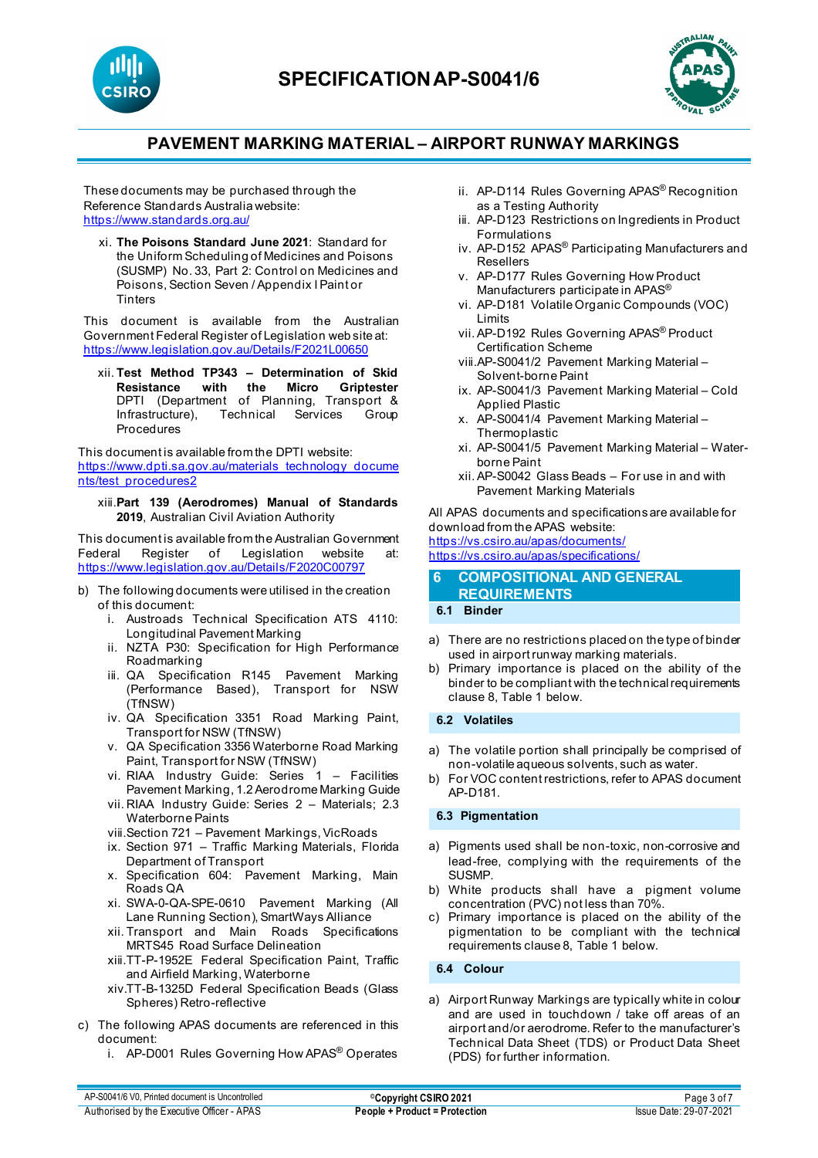



These documents may be purchased through the Reference Standards Australia website: <https://www.standards.org.au/>

xi. **The Poisons Standard June 2021**: Standard for the Uniform Scheduling of Medicines and Poisons (SUSMP) No. 33, Part 2: Control on Medicines and Poisons, Section Seven / Appendix I Paint or **Tinters** 

This document is available from the Australian Government Federal Register of Legislation web site at: <https://www.legislation.gov.au/Details/F2021L00650>

xii. **Test Method TP343 – Determination of Skid Resistance with the** DPTI (Department of Planning, Transport & Infrastructure), Technical Services Group Procedures

This document is available from the DPTI website: [https://www.dpti.sa.gov.au/materials\\_technology\\_docume](https://www.dpti.sa.gov.au/materials_technology_documents/test_procedures2) [nts/test\\_procedures2](https://www.dpti.sa.gov.au/materials_technology_documents/test_procedures2)

xiii.**Part 139 (Aerodromes) Manual of Standards 2019**, Australian Civil Aviation Authority

This document is available from the Australian Government<br>Federal Register of Legislation website at: Federal Register of Legislation website at: <https://www.legislation.gov.au/Details/F2020C00797>

- b) The following documents were utilised in the creation of this document:
	- i. Austroads Technical Specification ATS 4110: Longitudinal Pavement Marking
	- ii. NZTA P30: Specification for High Performance Roadmarking
	- iii. QA Specification R145 Pavement Marking (Performance Based), Transport for NSW (TfNSW)
	- iv. QA Specification 3351 Road Marking Paint, Transport for NSW (TfNSW)
	- v. QA Specification 3356 Waterborne Road Marking Paint, Transport for NSW (TfNSW)
	- vi. RIAA Industry Guide: Series 1 Facilities Pavement Marking, 1.2 Aerodrome Marking Guide
	- vii. RIAA Industry Guide: Series 2 Materials; 2.3 Waterborne Paints
	- viii.Section 721 Pavement Markings, VicRoads
	- ix. Section 971 Traffic Marking Materials, Florida Department of Transport
	- x. Specification 604: Pavement Marking, Main Roads QA
	- xi. SWA-0-QA-SPE-0610 Pavement Marking (All Lane Running Section), SmartWays Alliance
	- xii. Transport and Main Roads Specifications MRTS45 Road Surface Delineation
	- xiii.TT-P-1952E Federal Specification Paint, Traffic and Airfield Marking, Waterborne
	- xiv.TT-B-1325D Federal Specification Beads (Glass Spheres) Retro-reflective
- c) The following APAS documents are referenced in this document:
	- i. AP-D001 Rules Governing How APAS® Operates
- ii. AP-D114 Rules Governing APAS® Recognition as a Testing Authority
- iii. AP-D123 Restrictions on Ingredients in Product Formulations
- iv. AP-D152 APAS® Participating Manufacturers and Resellers
- v. AP-D177 Rules Governing How Product Manufacturers participate in APAS®
- vi. AP-D181 Volatile Organic Compounds (VOC) Limits
- vii. AP-D192 Rules Governing APAS® Product Certification Scheme
- viii.AP-S0041/2 Pavement Marking Material Solvent-borne Paint
- ix. AP-S0041/3 Pavement Marking Material Cold Applied Plastic
- x. AP-S0041/4 Pavement Marking Material Thermoplastic
- xi. AP-S0041/5 Pavement Marking Material Waterborne Paint
- xii. AP-S0042 Glass Beads For use in and with Pavement Marking Materials

All APAS documents and specifications are available for download from the APAS website: <https://vs.csiro.au/apas/documents/>

<https://vs.csiro.au/apas/specifications/>

#### **6 COMPOSITIONAL AND GENERAL REQUIREMENTS**

#### **6.1 Binder**

- a) There are no restrictions placed on the type of binder used in airport runway marking materials.
- b) Primary importance is placed on the ability of the binder to be compliant with the technical requirements clause 8, Table 1 below.

#### **6.2 Volatiles**

- a) The volatile portion shall principally be comprised of non-volatile aqueous solvents, such as water.
- b) For VOC content restrictions, refer to APAS document AP-D181.

### **6.3 Pigmentation**

- a) Pigments used shall be non-toxic, non-corrosive and lead-free, complying with the requirements of the SUSMP.
- b) White products shall have a pigment volume concentration (PVC) not less than 70%.
- c) Primary importance is placed on the ability of the pigmentation to be compliant with the technical requirements clause 8, Table 1 below.

**6.4 Colour**

a) Airport Runway Markings are typically white in colour and are used in touchdown / take off areas of an airport and/or aerodrome. Refer to the manufacturer's Technical Data Sheet (TDS) or Product Data Sheet (PDS) for further information.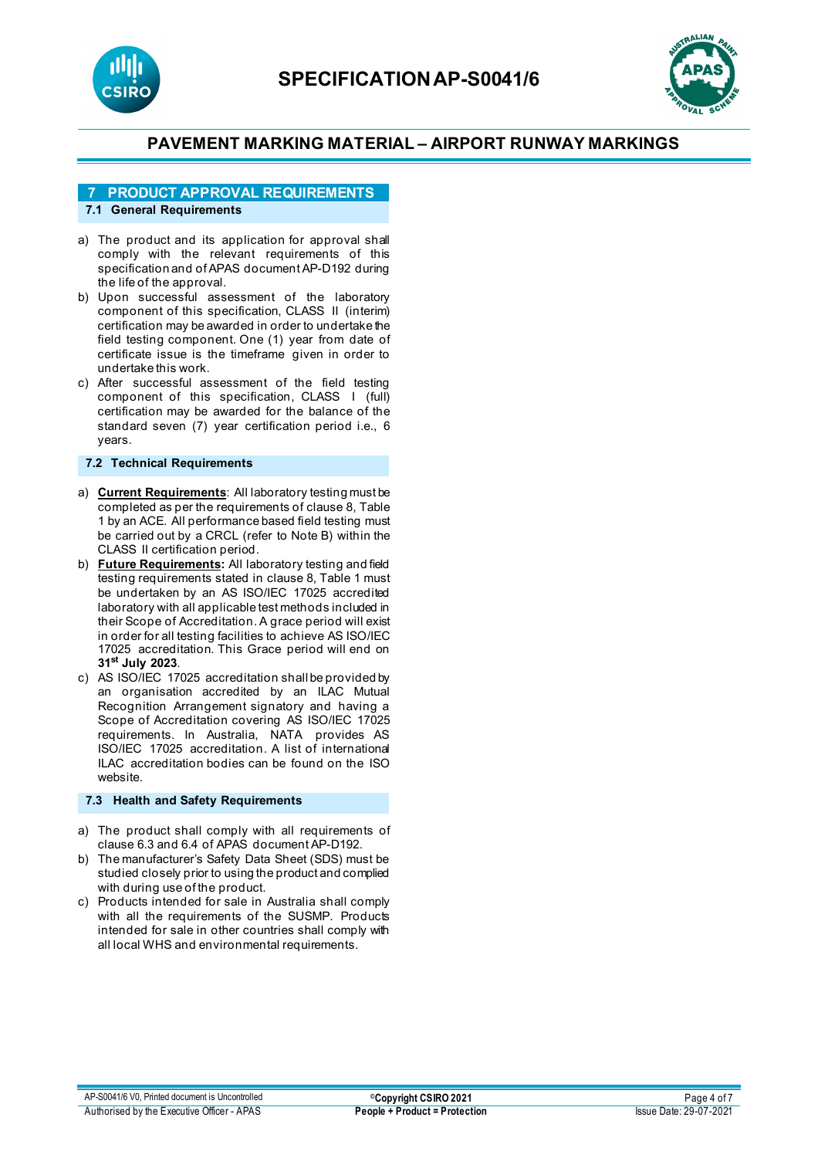



# **7 PRODUCT APPROVAL REQUIREMENTS**

## **7.1 General Requirements**

- a) The product and its application for approval shall comply with the relevant requirements of this specification and of APAS document AP-D192 during the life of the approval.
- b) Upon successful assessment of the laboratory component of this specification, CLASS II (interim) certification may be awarded in order to undertake the field testing component. One (1) year from date of certificate issue is the timeframe given in order to undertake this work.
- c) After successful assessment of the field testing component of this specification, CLASS I (full) certification may be awarded for the balance of the standard seven (7) year certification period i.e., 6 years.

#### **7.2 Technical Requirements**

- a) **Current Requirements**: All laboratory testing must be completed as per the requirements of clause 8, Table 1 by an ACE. All performance based field testing must be carried out by a CRCL (refer to Note B) within the CLASS II certification period.
- b) **Future Requirements:** All laboratory testing and field testing requirements stated in clause 8, Table 1 must be undertaken by an AS ISO/IEC 17025 accredited laboratory with all applicable test methods included in their Scope of Accreditation. A grace period will exist in order for all testing facilities to achieve AS ISO/IEC 17025 accreditation. This Grace period will end on **31st July 2023**.
- c) AS ISO/IEC 17025 accreditation shall be provided by an organisation accredited by an ILAC Mutual Recognition Arrangement signatory and having a Scope of Accreditation covering AS ISO/IEC 17025 requirements. In Australia, NATA provides AS ISO/IEC 17025 accreditation. A list of international ILAC accreditation bodies can be found on the ISO website.

### **7.3 Health and Safety Requirements**

- a) The product shall comply with all requirements of clause 6.3 and 6.4 of APAS document AP-D192.
- b) The manufacturer's Safety Data Sheet (SDS) must be studied closely prior to using the product and complied with during use of the product.
- c) Products intended for sale in Australia shall comply with all the requirements of the SUSMP. Products intended for sale in other countries shall comply with all local WHS and environmental requirements.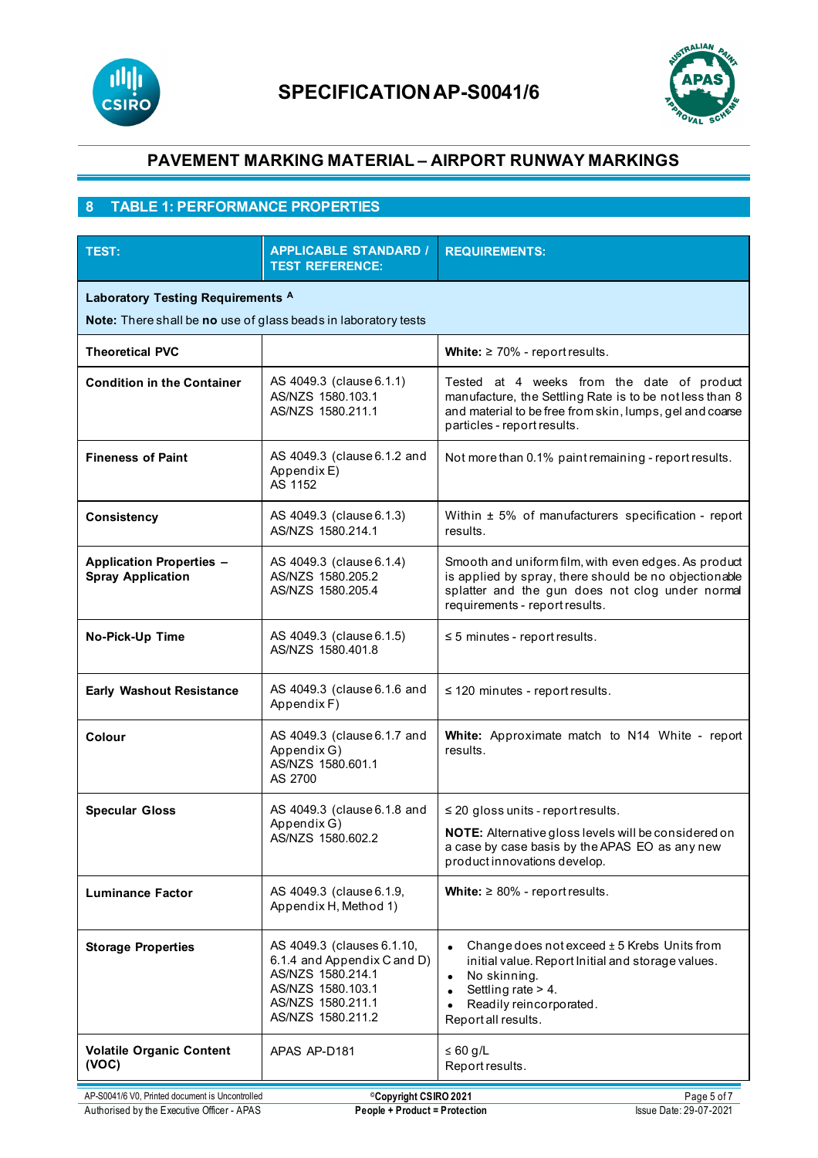



# **8 TABLE 1: PERFORMANCE PROPERTIES**

| <b>TEST:</b>                                                                                                   | <b>APPLICABLE STANDARD /</b><br><b>TEST REFERENCE:</b>                                                                                        | <b>REQUIREMENTS:</b>                                                                                                                                                                                               |  |  |
|----------------------------------------------------------------------------------------------------------------|-----------------------------------------------------------------------------------------------------------------------------------------------|--------------------------------------------------------------------------------------------------------------------------------------------------------------------------------------------------------------------|--|--|
| Laboratory Testing Requirements <sup>A</sup><br>Note: There shall be no use of glass beads in laboratory tests |                                                                                                                                               |                                                                                                                                                                                                                    |  |  |
| <b>Theoretical PVC</b>                                                                                         |                                                                                                                                               | White: $\geq 70\%$ - report results.                                                                                                                                                                               |  |  |
| <b>Condition in the Container</b>                                                                              | AS 4049.3 (clause 6.1.1)<br>AS/NZS 1580.103.1<br>AS/NZS 1580.211.1                                                                            | Tested at 4 weeks from the date of product<br>manufacture, the Settling Rate is to be not less than 8<br>and material to be free from skin, lumps, gel and coarse<br>particles - report results.                   |  |  |
| <b>Fineness of Paint</b>                                                                                       | AS 4049.3 (clause 6.1.2 and<br>Appendix E)<br>AS 1152                                                                                         | Not more than 0.1% paint remaining - report results.                                                                                                                                                               |  |  |
| <b>Consistency</b>                                                                                             | AS 4049.3 (clause 6.1.3)<br>AS/NZS 1580.214.1                                                                                                 | Within ± 5% of manufacturers specification - report<br>results.                                                                                                                                                    |  |  |
| <b>Application Properties -</b><br><b>Spray Application</b>                                                    | AS 4049.3 (clause 6.1.4)<br>AS/NZS 1580.205.2<br>AS/NZS 1580.205.4                                                                            | Smooth and uniform film, with even edges. As product<br>is applied by spray, there should be no objectionable<br>splatter and the gun does not clog under normal<br>requirements - report results.                 |  |  |
| No-Pick-Up Time                                                                                                | AS 4049.3 (clause 6.1.5)<br>AS/NZS 1580.401.8                                                                                                 | $\leq$ 5 minutes - report results.                                                                                                                                                                                 |  |  |
| <b>Early Washout Resistance</b>                                                                                | AS 4049.3 (clause 6.1.6 and<br>Appendix F)                                                                                                    | $\leq$ 120 minutes - report results.                                                                                                                                                                               |  |  |
| Colour                                                                                                         | AS 4049.3 (clause 6.1.7 and<br>Appendix G)<br>AS/NZS 1580.601.1<br>AS 2700                                                                    | White: Approximate match to N14 White - report<br>results.                                                                                                                                                         |  |  |
| <b>Specular Gloss</b>                                                                                          | AS 4049.3 (clause 6.1.8 and<br>Appendix G)<br>AS/NZS 1580.602.2                                                                               | $\leq$ 20 gloss units - report results.<br>NOTE: Alternative gloss levels will be considered on<br>a case by case basis by the APAS EO as any new<br>product innovations develop.                                  |  |  |
| <b>Luminance Factor</b>                                                                                        | AS 4049.3 (clause 6.1.9,<br>Appendix H, Method 1)                                                                                             | White: $\geq 80\%$ - report results.                                                                                                                                                                               |  |  |
| <b>Storage Properties</b>                                                                                      | AS 4049.3 (clauses 6.1.10,<br>6.1.4 and Appendix C and D)<br>AS/NZS 1580.214.1<br>AS/NZS 1580.103.1<br>AS/NZS 1580.211.1<br>AS/NZS 1580.211.2 | Change does not exceed ± 5 Krebs Units from<br>initial value. Report Initial and storage values.<br>No skinning.<br>$\bullet$<br>Settling rate > 4.<br>Readily reincorporated.<br>$\bullet$<br>Report all results. |  |  |
| <b>Volatile Organic Content</b><br>(VOC)                                                                       | APAS AP-D181                                                                                                                                  | $\leq 60$ g/L<br>Report results.                                                                                                                                                                                   |  |  |
| AP-S0041/6 V0, Printed document is Uncontrolled                                                                | <sup>©</sup> Copyright CSIRO 2021                                                                                                             | Page 5 of 7                                                                                                                                                                                                        |  |  |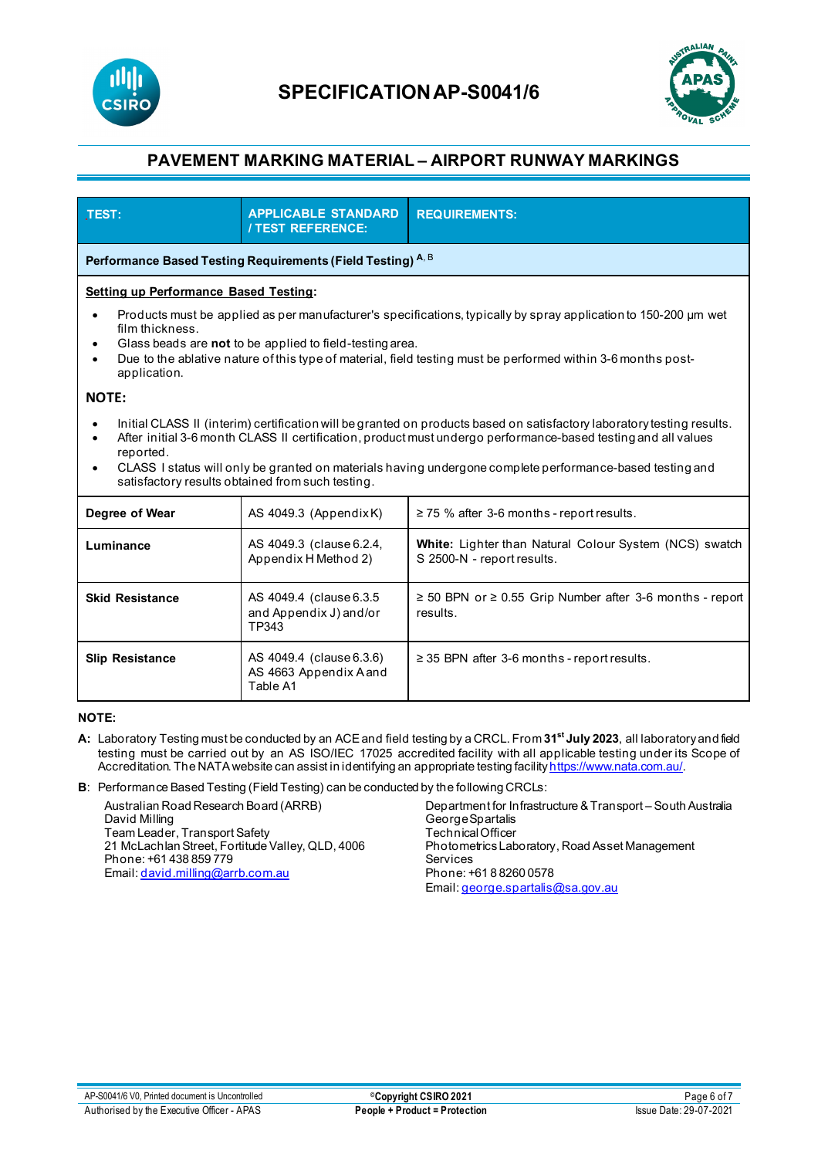



| TEST:                                                                                                                                                                                                                                                                                                                                                                                                                                  | <b>APPLICABLE STANDARD</b><br><b>/ TEST REFERENCE:</b>         | <b>REQUIREMENTS:</b>                                                                 |  |  |  |  |
|----------------------------------------------------------------------------------------------------------------------------------------------------------------------------------------------------------------------------------------------------------------------------------------------------------------------------------------------------------------------------------------------------------------------------------------|----------------------------------------------------------------|--------------------------------------------------------------------------------------|--|--|--|--|
| Performance Based Testing Requirements (Field Testing) A, B                                                                                                                                                                                                                                                                                                                                                                            |                                                                |                                                                                      |  |  |  |  |
| <b>Setting up Performance Based Testing:</b>                                                                                                                                                                                                                                                                                                                                                                                           |                                                                |                                                                                      |  |  |  |  |
| Products must be applied as per manufacturer's specifications, typically by spray application to 150-200 µm wet<br>$\bullet$<br>film thickness.<br>Glass beads are not to be applied to field-testing area.<br>٠<br>Due to the ablative nature of this type of material, field testing must be performed within 3-6 months post-<br>$\bullet$<br>application.                                                                          |                                                                |                                                                                      |  |  |  |  |
| <b>NOTE:</b>                                                                                                                                                                                                                                                                                                                                                                                                                           |                                                                |                                                                                      |  |  |  |  |
| Initial CLASS II (interim) certification will be granted on products based on satisfactory laboratory testing results.<br>After initial 3-6 month CLASS II certification, product must undergo performance-based testing and all values<br>٠<br>reported.<br>CLASS I status will only be granted on materials having undergone complete performance-based testing and<br>$\bullet$<br>satisfactory results obtained from such testing. |                                                                |                                                                                      |  |  |  |  |
| Degree of Wear                                                                                                                                                                                                                                                                                                                                                                                                                         | AS 4049.3 (AppendixK)                                          | $\geq$ 75 % after 3-6 months - report results.                                       |  |  |  |  |
| Luminance                                                                                                                                                                                                                                                                                                                                                                                                                              | AS 4049.3 (clause 6.2.4,<br>Appendix H Method 2)               | White: Lighter than Natural Colour System (NCS) swatch<br>S 2500-N - report results. |  |  |  |  |
| <b>Skid Resistance</b>                                                                                                                                                                                                                                                                                                                                                                                                                 | AS 4049.4 (clause 6.3.5)<br>and Appendix J) and/or<br>TP343    | $\ge$ 50 BPN or $\ge$ 0.55 Grip Number after 3-6 months - report<br>results.         |  |  |  |  |
| <b>Slip Resistance</b>                                                                                                                                                                                                                                                                                                                                                                                                                 | AS 4049.4 (clause 6.3.6)<br>AS 4663 Appendix A and<br>Table A1 | $\geq$ 35 BPN after 3-6 months - report results.                                     |  |  |  |  |

#### **NOTE:**

- **A:** Laboratory Testing must be conducted by an ACE and field testing by a CRCL. From **31st July 2023**, all laboratory and field testing must be carried out by an AS ISO/IEC 17025 accredited facility with all applicable testing under its Scope of Accreditation. The NATA website can assist in identifying an appropriate testing facilit[y https://www.nata.com.au/](https://www.nata.com.au/).
- **B**: Performance Based Testing (Field Testing) can be conducted by the following CRCLs:

Australian Road Research Board (ARRB) David Milling Team Leader, Transport Safety 21 McLachlan Street, Fortitude Valley, QLD, 4006 Phone: +61 438 859 779 Email[: david.milling@arrb.com.au](mailto:david.milling@arrb.com.au) Department for Infrastructure & Transport – South Australia George Spartalis Technical Officer Photometrics Laboratory, Road Asset Management Services Phone: +61 8 8260 0578 Email[: george.spartalis@sa.gov.au](mailto:george.spartalis@sa.gov.au)